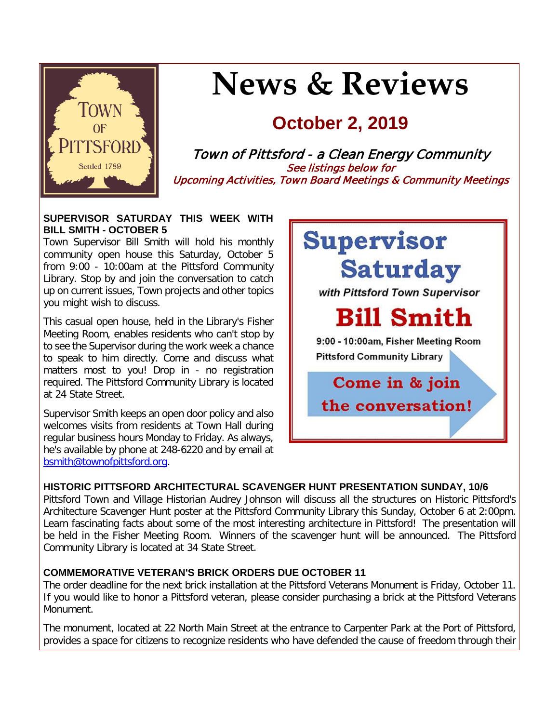

# **News & Reviews**

## **October 2, 2019**

Town of Pittsford - a Clean Energy Community See listings below for Upcoming Activities, Town Board Meetings & Community Meetings

#### **SUPERVISOR SATURDAY THIS WEEK WITH BILL SMITH - OCTOBER 5**

Town Supervisor Bill Smith will hold his monthly community open house this Saturday, October 5 from 9:00 - 10:00am at the Pittsford Community Library. Stop by and join the conversation to catch up on current issues, Town projects and other topics you might wish to discuss.

This casual open house, held in the Library's Fisher Meeting Room, enables residents who can't stop by to see the Supervisor during the work week a chance to speak to him directly. Come and discuss what matters most to you! Drop in - no registration required. The Pittsford Community Library is located at 24 State Street.

Supervisor Smith keeps an open door policy and also welcomes visits from residents at Town Hall during regular business hours Monday to Friday. As always, he's available by phone at 248-6220 and by email at [bsmith@townofpittsford.org.](mailto:bsmith@townofpittsford.org)



#### **HISTORIC PITTSFORD ARCHITECTURAL SCAVENGER HUNT PRESENTATION SUNDAY, 10/6**

Pittsford Town and Village Historian Audrey Johnson will discuss all the structures on Historic Pittsford's Architecture Scavenger Hunt poster at the Pittsford Community Library this Sunday, October 6 at 2:00pm. Learn fascinating facts about some of the most interesting architecture in Pittsford! The presentation will be held in the Fisher Meeting Room. Winners of the scavenger hunt will be announced. The Pittsford Community Library is located at 34 State Street.

#### **COMMEMORATIVE VETERAN'S BRICK ORDERS DUE OCTOBER 11**

The order deadline for the next brick installation at the Pittsford Veterans Monument is Friday, October 11. If you would like to honor a Pittsford veteran, please consider purchasing a brick at the Pittsford Veterans Monument.

The monument, located at 22 North Main Street at the entrance to Carpenter Park at the Port of Pittsford, provides a space for citizens to recognize residents who have defended the cause of freedom through their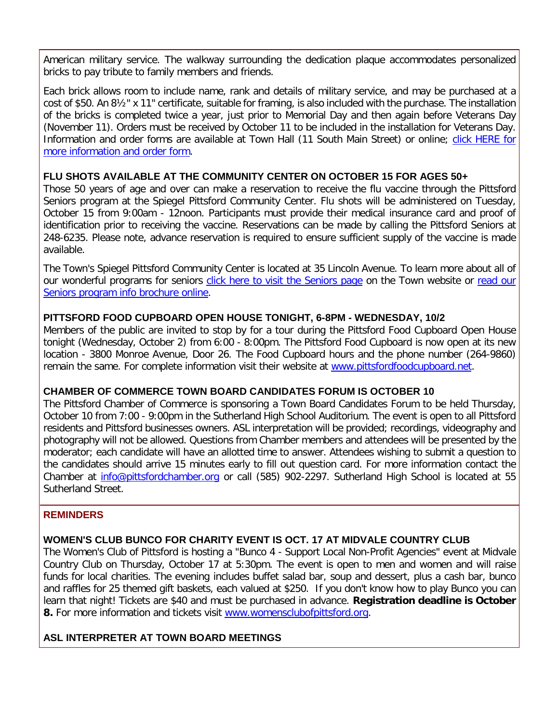American military service. The walkway surrounding the dedication plaque accommodates personalized bricks to pay tribute to family members and friends.

Each brick allows room to include name, rank and details of military service, and may be purchased at a cost of \$50. An 8½" x 11" certificate, suitable for framing, is also included with the purchase. The installation of the bricks is completed twice a year, just prior to Memorial Day and then again before Veterans Day (November 11). Orders must be received by October 11 to be included in the installation for Veterans Day. Information and order forms are available at Town Hall (11 South Main Street) or online; [click HERE for](http://r20.rs6.net/tn.jsp?f=001mzShVsjLr3a2b48MOYkm2EnfstuqX1G4cO9LaFMQar3YG0yiEB7xo14gtgXJfj0AROX01V1mTfQN_9mK6s1-WBspdnSnSjJKA8e-fizWIrFzj-NtdPqpyZHAYHBFElk8ODr1IfhazEvLX15PrufK4B5My7_mYWXZRd8WUvrjA_6JkA2ZQA_ZuIf5STOFaqOlyuj2BWcnlvjudJIeyn0baB2kmkckpVmb10ztX34l7RB1DspMQS_nMPrc6JQ04PKHOQpmZzOm5YMPFq1XIeVnT0cZSl0ESQrQ3gJSm5i3bO_0yELpot4btg==&c=ZQ0htoe2rzIdWI3xwE7CUQQze9MxQUqbtHQlO-EVMSDTUJ49O5ae1Q==&ch=SxYt5OaUA-yZdsDT-dya9-l2YiCi2s_w-axk1M4TWgW0Chno5xa4pQ==)  [more information and order form.](http://r20.rs6.net/tn.jsp?f=001mzShVsjLr3a2b48MOYkm2EnfstuqX1G4cO9LaFMQar3YG0yiEB7xo14gtgXJfj0AROX01V1mTfQN_9mK6s1-WBspdnSnSjJKA8e-fizWIrFzj-NtdPqpyZHAYHBFElk8ODr1IfhazEvLX15PrufK4B5My7_mYWXZRd8WUvrjA_6JkA2ZQA_ZuIf5STOFaqOlyuj2BWcnlvjudJIeyn0baB2kmkckpVmb10ztX34l7RB1DspMQS_nMPrc6JQ04PKHOQpmZzOm5YMPFq1XIeVnT0cZSl0ESQrQ3gJSm5i3bO_0yELpot4btg==&c=ZQ0htoe2rzIdWI3xwE7CUQQze9MxQUqbtHQlO-EVMSDTUJ49O5ae1Q==&ch=SxYt5OaUA-yZdsDT-dya9-l2YiCi2s_w-axk1M4TWgW0Chno5xa4pQ==)

#### **FLU SHOTS AVAILABLE AT THE COMMUNITY CENTER ON OCTOBER 15 FOR AGES 50+**

Those 50 years of age and over can make a reservation to receive the flu vaccine through the Pittsford Seniors program at the Spiegel Pittsford Community Center. Flu shots will be administered on Tuesday, October 15 from 9:00am - 12noon. Participants must provide their medical insurance card and proof of identification prior to receiving the vaccine. Reservations can be made by calling the Pittsford Seniors at 248-6235. Please note, advance reservation is required to ensure sufficient supply of the vaccine is made available.

The Town's Spiegel Pittsford Community Center is located at 35 Lincoln Avenue. To learn more about all of our wonderful programs for seniors [click here to visit the Seniors page](http://r20.rs6.net/tn.jsp?f=001mzShVsjLr3a2b48MOYkm2EnfstuqX1G4cO9LaFMQar3YG0yiEB7xo14gtgXJfj0AW1h9KeX288b636utRZ_tHPspzscKBTdjLKnG-GTi_ZLZrFtaLEQm_XYjrMu_Dez-wqXVSaRa0i0tXCRlWhUCWgnAgwnBsjHmT5qTkHo76xmhcvNBmg9V09l5i3GdNKedikNSyJcyrq27x7GMNke0QJlvCuSQeMeB5CLrgdNl_BJasNLha8qwEoHLmZ5HUqJ3-d0VfyYMlFRw7Ic-Hl3kTE8nsoi3R08IdQLk6EzokCONPaHmY2sAls65ruGgpq8U&c=ZQ0htoe2rzIdWI3xwE7CUQQze9MxQUqbtHQlO-EVMSDTUJ49O5ae1Q==&ch=SxYt5OaUA-yZdsDT-dya9-l2YiCi2s_w-axk1M4TWgW0Chno5xa4pQ==) on the Town website or read our [Seniors program info brochure online.](http://r20.rs6.net/tn.jsp?f=001mzShVsjLr3a2b48MOYkm2EnfstuqX1G4cO9LaFMQar3YG0yiEB7xo86NmAxRpDSSOopHATGqm3i0Af1BL2MioCECWP4WBiw2KudpjyhhrQXWvTKjOUWJbxD9NSSXDNnZxyd-1BnTxzOBSsGAZA686RwL9KU1wYDt3n6VbaS-NuByM-4GC5exlZSBxkzueL7zQ341bFcCO7wN2jvP8-vVsGMGpaaUS_8rbiXqhxGU-p4ot3iMgSKdhTNKcrutrUagb-ephJdVUjagOVn88y8yiYs9bj5x8PYtM02oETS_QgFJFiSZeKUYXbd0w1rFcQPat7OL1TZKdvpNSFzcRtK0hIZ47PCiawIMmFU3w1eYlYg=&c=ZQ0htoe2rzIdWI3xwE7CUQQze9MxQUqbtHQlO-EVMSDTUJ49O5ae1Q==&ch=SxYt5OaUA-yZdsDT-dya9-l2YiCi2s_w-axk1M4TWgW0Chno5xa4pQ==)

#### **PITTSFORD FOOD CUPBOARD OPEN HOUSE TONIGHT, 6-8PM - WEDNESDAY, 10/2**

Members of the public are invited to stop by for a tour during the Pittsford Food Cupboard Open House tonight (Wednesday, October 2) from 6:00 - 8:00pm. The Pittsford Food Cupboard is now open at its new location - 3800 Monroe Avenue, Door 26. The Food Cupboard hours and the phone number (264-9860) remain the same. For complete information visit their website at [www.pittsfordfoodcupboard.net.](http://r20.rs6.net/tn.jsp?f=001mzShVsjLr3a2b48MOYkm2EnfstuqX1G4cO9LaFMQar3YG0yiEB7xo2i9j2ycoCAXDi31WR-KDnJ_8-OXv54cvupsKgzLPculQocyBYUZSOyjrE0fTlhoELQk6iy1XtNMswSnFgIc03VeGKDWIpiT04mwjADuESGPYgWODasY8n5WCB8iclXbMSjXMlxZmxooIUxeKFZVogS3iUGrRGwEIZIERFheykr0s8uAYiQmFWDkknyrmgrK6GDXdJ7JYQyMHTFESpzbPh5i-g3avQ1hvQ-NK_HrcqwuKprvxW6-WOiclqeRIKWixw==&c=ZQ0htoe2rzIdWI3xwE7CUQQze9MxQUqbtHQlO-EVMSDTUJ49O5ae1Q==&ch=SxYt5OaUA-yZdsDT-dya9-l2YiCi2s_w-axk1M4TWgW0Chno5xa4pQ==)

#### **CHAMBER OF COMMERCE TOWN BOARD CANDIDATES FORUM IS OCTOBER 10**

The Pittsford Chamber of Commerce is sponsoring a Town Board Candidates Forum to be held Thursday, October 10 from 7:00 - 9:00pm in the Sutherland High School Auditorium. The event is open to all Pittsford residents and Pittsford businesses owners. ASL interpretation will be provided; recordings, videography and photography will not be allowed. Questions from Chamber members and attendees will be presented by the moderator; each candidate will have an allotted time to answer. Attendees wishing to submit a question to the candidates should arrive 15 minutes early to fill out question card. For more information contact the Chamber at [info@pittsfordchamber.org](mailto:info@pittsfordchamber.org?subject=Chamber%20Town%20Board%20Candidates%20Forum) or call (585) 902-2297. Sutherland High School is located at 55 Sutherland Street.

#### **REMINDERS**

#### **WOMEN'S CLUB BUNCO FOR CHARITY EVENT IS OCT. 17 AT MIDVALE COUNTRY CLUB**

The Women's Club of Pittsford is hosting a "Bunco 4 - Support Local Non-Profit Agencies" event at Midvale Country Club on Thursday, October 17 at 5:30pm. The event is open to men and women and will raise funds for local charities. The evening includes buffet salad bar, soup and dessert, plus a cash bar, bunco and raffles for 25 themed gift baskets, each valued at \$250. If you don't know how to play Bunco you can learn that night! Tickets are \$40 and must be purchased in advance. **Registration deadline is October 8.** For more information and tickets visit [www.womensclubofpittsford.org.](http://r20.rs6.net/tn.jsp?f=001mzShVsjLr3a2b48MOYkm2EnfstuqX1G4cO9LaFMQar3YG0yiEB7xo3dD0hXmIZ893sm8xZmS2isO1Ka8rH3iJB9VKReZy7cP_tecm42EaARIGUKXdfJdTwxQR1pyvw8CGRBylun73vHvosG8hb2OAlEc4SA_LIVb79D4fdBxCR8h7s0sTNFPD8SARocD2IjszxvlCeihzQFPw02y1J8QEiCNlFpTw55Y5xO_hnx_cY93vhBuXBzM_3Rgmxti2-hWRkaziVgH7uhJvqBKgJdIy_5rWCtrqIvtHnD2bFfWWEUT2twSqigcpg==&c=ZQ0htoe2rzIdWI3xwE7CUQQze9MxQUqbtHQlO-EVMSDTUJ49O5ae1Q==&ch=SxYt5OaUA-yZdsDT-dya9-l2YiCi2s_w-axk1M4TWgW0Chno5xa4pQ==)

#### **ASL INTERPRETER AT TOWN BOARD MEETINGS**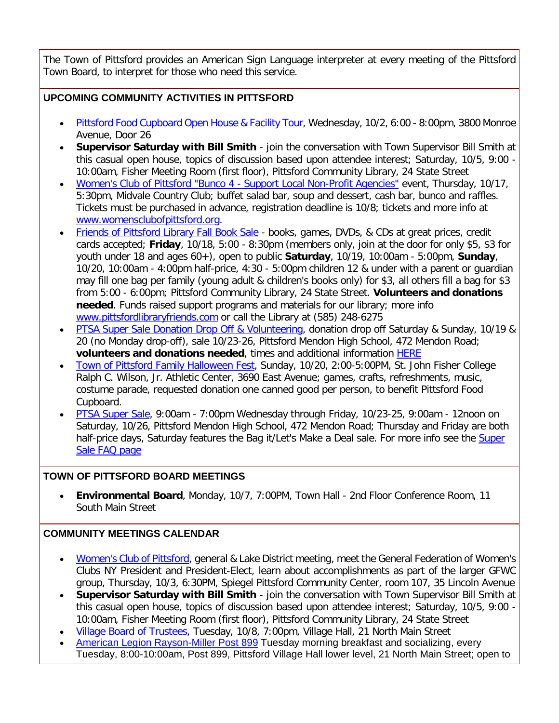The Town of Pittsford provides an American Sign Language interpreter at every meeting of the Pittsford Town Board, to interpret for those who need this service.

#### **UPCOMING COMMUNITY ACTIVITIES IN PITTSFORD**

- Pittsford Food Cupboard [Open House & Facility Tour,](http://r20.rs6.net/tn.jsp?f=001mzShVsjLr3a2b48MOYkm2EnfstuqX1G4cO9LaFMQar3YG0yiEB7xo2i9j2ycoCAXDi31WR-KDnJ_8-OXv54cvupsKgzLPculQocyBYUZSOyjrE0fTlhoELQk6iy1XtNMswSnFgIc03VeGKDWIpiT04mwjADuESGPYgWODasY8n5WCB8iclXbMSjXMlxZmxooIUxeKFZVogS3iUGrRGwEIZIERFheykr0s8uAYiQmFWDkknyrmgrK6GDXdJ7JYQyMHTFESpzbPh5i-g3avQ1hvQ-NK_HrcqwuKprvxW6-WOiclqeRIKWixw==&c=ZQ0htoe2rzIdWI3xwE7CUQQze9MxQUqbtHQlO-EVMSDTUJ49O5ae1Q==&ch=SxYt5OaUA-yZdsDT-dya9-l2YiCi2s_w-axk1M4TWgW0Chno5xa4pQ==) Wednesday, 10/2, 6:00 8:00pm, 3800 Monroe Avenue, Door 26
- **Supervisor Saturday with Bill Smith** join the conversation with Town Supervisor Bill Smith at this casual open house, topics of discussion based upon attendee interest; Saturday, 10/5, 9:00 - 10:00am, Fisher Meeting Room (first floor), Pittsford Community Library, 24 State Street
- [Women's Club of Pittsford "Bunco 4 -](http://r20.rs6.net/tn.jsp?f=001mzShVsjLr3a2b48MOYkm2EnfstuqX1G4cO9LaFMQar3YG0yiEB7xo3dD0hXmIZ893sm8xZmS2isO1Ka8rH3iJB9VKReZy7cP_tecm42EaARIGUKXdfJdTwxQR1pyvw8CGRBylun73vHvosG8hb2OAlEc4SA_LIVb79D4fdBxCR8h7s0sTNFPD8SARocD2IjszxvlCeihzQFPw02y1J8QEiCNlFpTw55Y5xO_hnx_cY93vhBuXBzM_3Rgmxti2-hWRkaziVgH7uhJvqBKgJdIy_5rWCtrqIvtHnD2bFfWWEUT2twSqigcpg==&c=ZQ0htoe2rzIdWI3xwE7CUQQze9MxQUqbtHQlO-EVMSDTUJ49O5ae1Q==&ch=SxYt5OaUA-yZdsDT-dya9-l2YiCi2s_w-axk1M4TWgW0Chno5xa4pQ==) Support Local Non-Profit Agencies" event, Thursday, 10/17, 5:30pm, Midvale Country Club; buffet salad bar, soup and dessert, cash bar, bunco and raffles. Tickets must be purchased in advance, registration deadline is 10/8; tickets and more info at [www.womensclubofpittsford.org.](http://r20.rs6.net/tn.jsp?f=001mzShVsjLr3a2b48MOYkm2EnfstuqX1G4cO9LaFMQar3YG0yiEB7xo3dD0hXmIZ893sm8xZmS2isO1Ka8rH3iJB9VKReZy7cP_tecm42EaARIGUKXdfJdTwxQR1pyvw8CGRBylun73vHvosG8hb2OAlEc4SA_LIVb79D4fdBxCR8h7s0sTNFPD8SARocD2IjszxvlCeihzQFPw02y1J8QEiCNlFpTw55Y5xO_hnx_cY93vhBuXBzM_3Rgmxti2-hWRkaziVgH7uhJvqBKgJdIy_5rWCtrqIvtHnD2bFfWWEUT2twSqigcpg==&c=ZQ0htoe2rzIdWI3xwE7CUQQze9MxQUqbtHQlO-EVMSDTUJ49O5ae1Q==&ch=SxYt5OaUA-yZdsDT-dya9-l2YiCi2s_w-axk1M4TWgW0Chno5xa4pQ==)
- [Friends of Pittsford Library Fall Book Sale](http://r20.rs6.net/tn.jsp?f=001mzShVsjLr3a2b48MOYkm2EnfstuqX1G4cO9LaFMQar3YG0yiEB7xo8l4bXUaqOWh87mAcLcEbxQDrRSRTZyMmYNxMZnp1qOAVIPjJnARuCSntXlE4ceZF91gLRAuVKhD72ukwDCaBMgAxfYF7Gdx2C6uTYl038aVpSLUWF4uipxSZVupU2z1EtZeN4okPTvZefhDnDe88JH3cDsLxLxExZYPXCnmgMjVyxi6jsAx7pJaeuK4D2RIejV0FWkMXjsn0cTSlHYiJIKFLq1KlGyLsZTEVckoHrMhk4wEZMSqi-MH5Qf-ySGK0z-HzVb6px1k&c=ZQ0htoe2rzIdWI3xwE7CUQQze9MxQUqbtHQlO-EVMSDTUJ49O5ae1Q==&ch=SxYt5OaUA-yZdsDT-dya9-l2YiCi2s_w-axk1M4TWgW0Chno5xa4pQ==) books, games, DVDs, & CDs at great prices, credit cards accepted; **Friday**, 10/18, 5:00 - 8:30pm (members only, join at the door for only \$5, \$3 for youth under 18 and ages 60+), open to public **Saturday**, 10/19, 10:00am - 5:00pm, **Sunday**, 10/20, 10:00am - 4:00pm half-price, 4:30 - 5:00pm children 12 & under with a parent or guardian may fill one bag per family (young adult & children's books only) for \$3, all others fill a bag for \$3 from 5:00 - 6:00pm; Pittsford Community Library, 24 State Street. **Volunteers and donations needed**. Funds raised support programs and materials for our library; more info [www.pittsfordlibraryfriends.com](http://r20.rs6.net/tn.jsp?f=001mzShVsjLr3a2b48MOYkm2EnfstuqX1G4cO9LaFMQar3YG0yiEB7xo8l4bXUaqOWhlwdU-d0drnxTzsnIfqgfyWN2OHOTi5NFKEXOosdJnigVMsyhNz300JoVnF-toTFFQmpZttiwvKC0N-YefSJ4K-7_HrSUiTJWC9X3vQvscOLsY3Swrgr_XQgSlIYd5-gaS-z66aOlrhfRAn3Fr9dFrqGPXqFnYJBH1wB68_5gRxiJTq0V-d9bcwkmPXc5xy8lPvjMlNf-VpPRQSdU3xnLlnfrQhlcWVV8NKjdJpK-hWljgT8t5eHGNg==&c=ZQ0htoe2rzIdWI3xwE7CUQQze9MxQUqbtHQlO-EVMSDTUJ49O5ae1Q==&ch=SxYt5OaUA-yZdsDT-dya9-l2YiCi2s_w-axk1M4TWgW0Chno5xa4pQ==) or call the Library at (585) 248-6275
- [PTSA Super Sale Donation Drop Off & Volunteering,](http://r20.rs6.net/tn.jsp?f=001mzShVsjLr3a2b48MOYkm2EnfstuqX1G4cO9LaFMQar3YG0yiEB7xo4dlkH3rRaGcqLnwrxjtNrcHu3JRMkcZi0FFRwVujWG20SlkZTLeHnKhvAglxYtHpMCfIDR-nS-fIlxdT5a3LOvojllvgVEKGK7U2DS3lVDz3shjqMUlhbIU0mzLYnv4cAetZguLq2reksnhUxC5_II4stCngr_1G9wJyNeX9fo27lyjW8mjOdLmXlZZUqhXtW4CCCwYp_ZrpIzHNf82JpUrlyGkony3vH-5RIxmOTBJ1EN6HlPhOqo7fs1b3j4zXA==&c=ZQ0htoe2rzIdWI3xwE7CUQQze9MxQUqbtHQlO-EVMSDTUJ49O5ae1Q==&ch=SxYt5OaUA-yZdsDT-dya9-l2YiCi2s_w-axk1M4TWgW0Chno5xa4pQ==) donation drop off Saturday & Sunday, 10/19 & 20 (no Monday drop-off), sale 10/23-26, Pittsford Mendon High School, 472 Mendon Road; **volunteers and donations needed**, times and additional information [HERE](http://r20.rs6.net/tn.jsp?f=001mzShVsjLr3a2b48MOYkm2EnfstuqX1G4cO9LaFMQar3YG0yiEB7xo7TA-LsdKMD3S0vpYJV9U2GxoHx-7blU9wMY3v7EEvrAbAIxI-cAraL42dJeHrXsaRwhYEJ5azx9JMRpRvpv4w4-G31S23YDFFJAnDwb6FaxY7PmYqAmLr-l6Yx2Ksh2Pb7jw0XTvIoT40PkUf6mYcolzAAPbhuQN5yUVEEIyE1N8RL7xlwkt4RpGDl_ZJ6ofHNH6hPi9EMsGvIEnmiNLXd_VctEnC3p_F3gkSrgvHKwVKtoQpTWMF7YylpPwEUaLQ==&c=ZQ0htoe2rzIdWI3xwE7CUQQze9MxQUqbtHQlO-EVMSDTUJ49O5ae1Q==&ch=SxYt5OaUA-yZdsDT-dya9-l2YiCi2s_w-axk1M4TWgW0Chno5xa4pQ==)
- Town of [Pittsford Family Halloween Fest,](http://r20.rs6.net/tn.jsp?f=001mzShVsjLr3a2b48MOYkm2EnfstuqX1G4cO9LaFMQar3YG0yiEB7xowP52nQB28fDHbNtHXqKLiaTBl_aVKox5_7Z5qN7h9xa2sxWCKGJ1q1qLUq750jOmqKfr5Ebpyfb0a6Xv7LMXXsmIkM3KPQgTlELy7Vb8geqBeSZzcbf9Op9ZYxT1zXpxq4X8pzTxnmAW22lZO5LfoWrswnzmldFDoUFAJ1q-2lq-N22LhPZIoobrPPtVVagr3m4vg5poeNNNaDap9uG7Jzlh0RluXRxtMofzlRcwIoCQAc8WAdw1G6XGfJcxqmMYjv0WwpQoihn&c=ZQ0htoe2rzIdWI3xwE7CUQQze9MxQUqbtHQlO-EVMSDTUJ49O5ae1Q==&ch=SxYt5OaUA-yZdsDT-dya9-l2YiCi2s_w-axk1M4TWgW0Chno5xa4pQ==) Sunday, 10/20, 2:00-5:00PM, St. John Fisher College Ralph C. Wilson, Jr. Athletic Center, 3690 East Avenue; games, crafts, refreshments, music, costume parade, requested donation one canned good per person, to benefit Pittsford Food Cupboard.
- [PTSA Super Sale,](http://r20.rs6.net/tn.jsp?f=001mzShVsjLr3a2b48MOYkm2EnfstuqX1G4cO9LaFMQar3YG0yiEB7xo4dlkH3rRaGcqLnwrxjtNrcHu3JRMkcZi0FFRwVujWG20SlkZTLeHnKhvAglxYtHpMCfIDR-nS-fIlxdT5a3LOvojllvgVEKGK7U2DS3lVDz3shjqMUlhbIU0mzLYnv4cAetZguLq2reksnhUxC5_II4stCngr_1G9wJyNeX9fo27lyjW8mjOdLmXlZZUqhXtW4CCCwYp_ZrpIzHNf82JpUrlyGkony3vH-5RIxmOTBJ1EN6HlPhOqo7fs1b3j4zXA==&c=ZQ0htoe2rzIdWI3xwE7CUQQze9MxQUqbtHQlO-EVMSDTUJ49O5ae1Q==&ch=SxYt5OaUA-yZdsDT-dya9-l2YiCi2s_w-axk1M4TWgW0Chno5xa4pQ==) 9:00am 7:00pm Wednesday through Friday, 10/23-25, 9:00am 12noon on Saturday, 10/26, Pittsford Mendon High School, 472 Mendon Road; Thursday and Friday are both half-price days, Saturday features the Bag it/Let's Make a Deal sale. For more info see the Super [Sale FAQ page](http://r20.rs6.net/tn.jsp?f=001mzShVsjLr3a2b48MOYkm2EnfstuqX1G4cO9LaFMQar3YG0yiEB7xo7TA-LsdKMD3S0vpYJV9U2GxoHx-7blU9wMY3v7EEvrAbAIxI-cAraL42dJeHrXsaRwhYEJ5azx9JMRpRvpv4w4-G31S23YDFFJAnDwb6FaxY7PmYqAmLr-l6Yx2Ksh2Pb7jw0XTvIoT40PkUf6mYcolzAAPbhuQN5yUVEEIyE1N8RL7xlwkt4RpGDl_ZJ6ofHNH6hPi9EMsGvIEnmiNLXd_VctEnC3p_F3gkSrgvHKwVKtoQpTWMF7YylpPwEUaLQ==&c=ZQ0htoe2rzIdWI3xwE7CUQQze9MxQUqbtHQlO-EVMSDTUJ49O5ae1Q==&ch=SxYt5OaUA-yZdsDT-dya9-l2YiCi2s_w-axk1M4TWgW0Chno5xa4pQ==)

#### **TOWN OF PITTSFORD BOARD MEETINGS**

• **Environmental Board**, Monday, 10/7, 7:00PM, Town Hall - 2nd Floor Conference Room, 11 South Main Street

#### **COMMUNITY MEETINGS CALENDAR**

- [Women's Club of Pittsford,](http://r20.rs6.net/tn.jsp?f=001mzShVsjLr3a2b48MOYkm2EnfstuqX1G4cO9LaFMQar3YG0yiEB7xo3dD0hXmIZ893sm8xZmS2isO1Ka8rH3iJB9VKReZy7cP_tecm42EaARIGUKXdfJdTwxQR1pyvw8CGRBylun73vHvosG8hb2OAlEc4SA_LIVb79D4fdBxCR8h7s0sTNFPD8SARocD2IjszxvlCeihzQFPw02y1J8QEiCNlFpTw55Y5xO_hnx_cY93vhBuXBzM_3Rgmxti2-hWRkaziVgH7uhJvqBKgJdIy_5rWCtrqIvtHnD2bFfWWEUT2twSqigcpg==&c=ZQ0htoe2rzIdWI3xwE7CUQQze9MxQUqbtHQlO-EVMSDTUJ49O5ae1Q==&ch=SxYt5OaUA-yZdsDT-dya9-l2YiCi2s_w-axk1M4TWgW0Chno5xa4pQ==) general & Lake District meeting, meet the General Federation of Women's Clubs NY President and President-Elect, learn about accomplishments as part of the larger GFWC group, Thursday, 10/3, 6:30PM, Spiegel Pittsford Community Center, room 107, 35 Lincoln Avenue
- **Supervisor Saturday with Bill Smith** join the conversation with Town Supervisor Bill Smith at this casual open house, topics of discussion based upon attendee interest; Saturday, 10/5, 9:00 - 10:00am, Fisher Meeting Room (first floor), Pittsford Community Library, 24 State Street
- [Village Board of Trustees,](http://www.villageofpittsford.com/?utm_source=eNews+10-02-19&utm_campaign=eNews+10-02-19&utm_medium=email) Tuesday, 10/8, 7:00pm, Village Hall, 21 North Main Street
- [American Legion Rayson-Miller Post 899](http://r20.rs6.net/tn.jsp?f=001mzShVsjLr3a2b48MOYkm2EnfstuqX1G4cO9LaFMQar3YG0yiEB7xo2i9j2ycoCAXF5PTeXbv3Xsz2AzK7MR4gyzR9LpTO2TZu3_bkCHP0-jSm6KAbsLHl3d_AfChazGZGQU5Re8PA2N82TxrUBHDlvw13jqCts9fkBjum02tzCssgyIpW6uDouvjQJZAuUzVZ82-37SrEGRJYPZq69p0zGop8nJIqonrIT2EL6awvLMLb9RjFny2mIUZyTzrlM-0xR3f3dy1GiFYSI58dGASTZVeeN5cSfkLbT1JmFbswGppV9w5_osFfA==&c=ZQ0htoe2rzIdWI3xwE7CUQQze9MxQUqbtHQlO-EVMSDTUJ49O5ae1Q==&ch=SxYt5OaUA-yZdsDT-dya9-l2YiCi2s_w-axk1M4TWgW0Chno5xa4pQ==) Tuesday morning breakfast and socializing, every Tuesday, 8:00-10:00am, Post 899, Pittsford Village Hall lower level, 21 North Main Street; open to